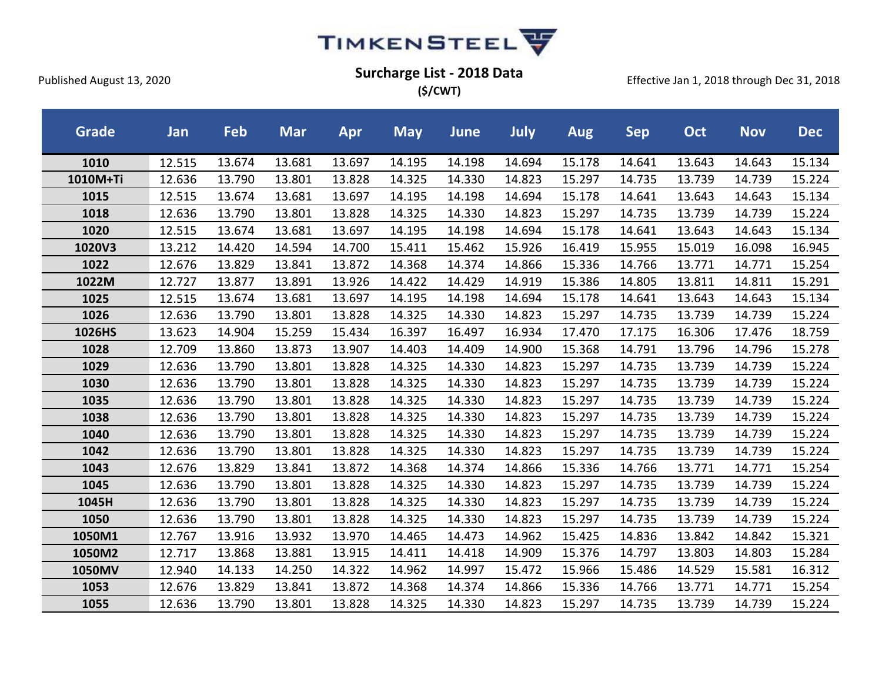

**(\$/CWT)**

| <b>Grade</b> | Jan    | Feb    | <b>Mar</b> | Apr    | <b>May</b> | June   | July   | <b>Aug</b> | <b>Sep</b> | Oct    | <b>Nov</b> | <b>Dec</b> |
|--------------|--------|--------|------------|--------|------------|--------|--------|------------|------------|--------|------------|------------|
| 1010         | 12.515 | 13.674 | 13.681     | 13.697 | 14.195     | 14.198 | 14.694 | 15.178     | 14.641     | 13.643 | 14.643     | 15.134     |
| 1010M+Ti     | 12.636 | 13.790 | 13.801     | 13.828 | 14.325     | 14.330 | 14.823 | 15.297     | 14.735     | 13.739 | 14.739     | 15.224     |
| 1015         | 12.515 | 13.674 | 13.681     | 13.697 | 14.195     | 14.198 | 14.694 | 15.178     | 14.641     | 13.643 | 14.643     | 15.134     |
| 1018         | 12.636 | 13.790 | 13.801     | 13.828 | 14.325     | 14.330 | 14.823 | 15.297     | 14.735     | 13.739 | 14.739     | 15.224     |
| 1020         | 12.515 | 13.674 | 13.681     | 13.697 | 14.195     | 14.198 | 14.694 | 15.178     | 14.641     | 13.643 | 14.643     | 15.134     |
| 1020V3       | 13.212 | 14.420 | 14.594     | 14.700 | 15.411     | 15.462 | 15.926 | 16.419     | 15.955     | 15.019 | 16.098     | 16.945     |
| 1022         | 12.676 | 13.829 | 13.841     | 13.872 | 14.368     | 14.374 | 14.866 | 15.336     | 14.766     | 13.771 | 14.771     | 15.254     |
| 1022M        | 12.727 | 13.877 | 13.891     | 13.926 | 14.422     | 14.429 | 14.919 | 15.386     | 14.805     | 13.811 | 14.811     | 15.291     |
| 1025         | 12.515 | 13.674 | 13.681     | 13.697 | 14.195     | 14.198 | 14.694 | 15.178     | 14.641     | 13.643 | 14.643     | 15.134     |
| 1026         | 12.636 | 13.790 | 13.801     | 13.828 | 14.325     | 14.330 | 14.823 | 15.297     | 14.735     | 13.739 | 14.739     | 15.224     |
| 1026HS       | 13.623 | 14.904 | 15.259     | 15.434 | 16.397     | 16.497 | 16.934 | 17.470     | 17.175     | 16.306 | 17.476     | 18.759     |
| 1028         | 12.709 | 13.860 | 13.873     | 13.907 | 14.403     | 14.409 | 14.900 | 15.368     | 14.791     | 13.796 | 14.796     | 15.278     |
| 1029         | 12.636 | 13.790 | 13.801     | 13.828 | 14.325     | 14.330 | 14.823 | 15.297     | 14.735     | 13.739 | 14.739     | 15.224     |
| 1030         | 12.636 | 13.790 | 13.801     | 13.828 | 14.325     | 14.330 | 14.823 | 15.297     | 14.735     | 13.739 | 14.739     | 15.224     |
| 1035         | 12.636 | 13.790 | 13.801     | 13.828 | 14.325     | 14.330 | 14.823 | 15.297     | 14.735     | 13.739 | 14.739     | 15.224     |
| 1038         | 12.636 | 13.790 | 13.801     | 13.828 | 14.325     | 14.330 | 14.823 | 15.297     | 14.735     | 13.739 | 14.739     | 15.224     |
| 1040         | 12.636 | 13.790 | 13.801     | 13.828 | 14.325     | 14.330 | 14.823 | 15.297     | 14.735     | 13.739 | 14.739     | 15.224     |
| 1042         | 12.636 | 13.790 | 13.801     | 13.828 | 14.325     | 14.330 | 14.823 | 15.297     | 14.735     | 13.739 | 14.739     | 15.224     |
| 1043         | 12.676 | 13.829 | 13.841     | 13.872 | 14.368     | 14.374 | 14.866 | 15.336     | 14.766     | 13.771 | 14.771     | 15.254     |
| 1045         | 12.636 | 13.790 | 13.801     | 13.828 | 14.325     | 14.330 | 14.823 | 15.297     | 14.735     | 13.739 | 14.739     | 15.224     |
| 1045H        | 12.636 | 13.790 | 13.801     | 13.828 | 14.325     | 14.330 | 14.823 | 15.297     | 14.735     | 13.739 | 14.739     | 15.224     |
| 1050         | 12.636 | 13.790 | 13.801     | 13.828 | 14.325     | 14.330 | 14.823 | 15.297     | 14.735     | 13.739 | 14.739     | 15.224     |
| 1050M1       | 12.767 | 13.916 | 13.932     | 13.970 | 14.465     | 14.473 | 14.962 | 15.425     | 14.836     | 13.842 | 14.842     | 15.321     |
| 1050M2       | 12.717 | 13.868 | 13.881     | 13.915 | 14.411     | 14.418 | 14.909 | 15.376     | 14.797     | 13.803 | 14.803     | 15.284     |
| 1050MV       | 12.940 | 14.133 | 14.250     | 14.322 | 14.962     | 14.997 | 15.472 | 15.966     | 15.486     | 14.529 | 15.581     | 16.312     |
| 1053         | 12.676 | 13.829 | 13.841     | 13.872 | 14.368     | 14.374 | 14.866 | 15.336     | 14.766     | 13.771 | 14.771     | 15.254     |
| 1055         | 12.636 | 13.790 | 13.801     | 13.828 | 14.325     | 14.330 | 14.823 | 15.297     | 14.735     | 13.739 | 14.739     | 15.224     |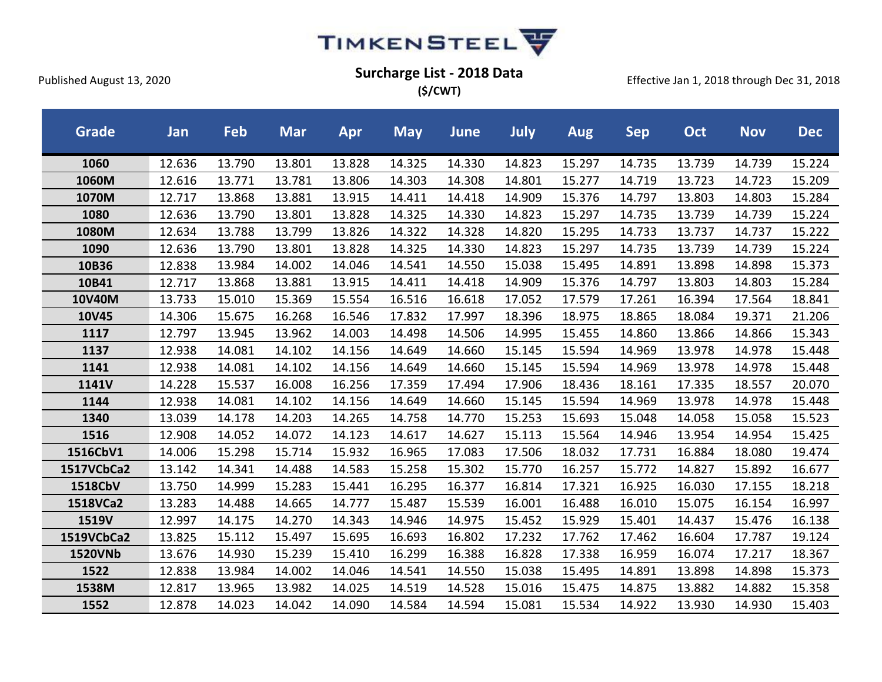

**(\$/CWT)**

| <b>Grade</b>   | Jan    | Feb    | <b>Mar</b> | Apr    | <b>May</b> | <b>June</b> | <b>July</b> | Aug    | <b>Sep</b> | <b>Oct</b> | <b>Nov</b> | <b>Dec</b> |
|----------------|--------|--------|------------|--------|------------|-------------|-------------|--------|------------|------------|------------|------------|
| 1060           | 12.636 | 13.790 | 13.801     | 13.828 | 14.325     | 14.330      | 14.823      | 15.297 | 14.735     | 13.739     | 14.739     | 15.224     |
| 1060M          | 12.616 | 13.771 | 13.781     | 13.806 | 14.303     | 14.308      | 14.801      | 15.277 | 14.719     | 13.723     | 14.723     | 15.209     |
| 1070M          | 12.717 | 13.868 | 13.881     | 13.915 | 14.411     | 14.418      | 14.909      | 15.376 | 14.797     | 13.803     | 14.803     | 15.284     |
| 1080           | 12.636 | 13.790 | 13.801     | 13.828 | 14.325     | 14.330      | 14.823      | 15.297 | 14.735     | 13.739     | 14.739     | 15.224     |
| 1080M          | 12.634 | 13.788 | 13.799     | 13.826 | 14.322     | 14.328      | 14.820      | 15.295 | 14.733     | 13.737     | 14.737     | 15.222     |
| 1090           | 12.636 | 13.790 | 13.801     | 13.828 | 14.325     | 14.330      | 14.823      | 15.297 | 14.735     | 13.739     | 14.739     | 15.224     |
| 10B36          | 12.838 | 13.984 | 14.002     | 14.046 | 14.541     | 14.550      | 15.038      | 15.495 | 14.891     | 13.898     | 14.898     | 15.373     |
| 10B41          | 12.717 | 13.868 | 13.881     | 13.915 | 14.411     | 14.418      | 14.909      | 15.376 | 14.797     | 13.803     | 14.803     | 15.284     |
| 10V40M         | 13.733 | 15.010 | 15.369     | 15.554 | 16.516     | 16.618      | 17.052      | 17.579 | 17.261     | 16.394     | 17.564     | 18.841     |
| 10V45          | 14.306 | 15.675 | 16.268     | 16.546 | 17.832     | 17.997      | 18.396      | 18.975 | 18.865     | 18.084     | 19.371     | 21.206     |
| 1117           | 12.797 | 13.945 | 13.962     | 14.003 | 14.498     | 14.506      | 14.995      | 15.455 | 14.860     | 13.866     | 14.866     | 15.343     |
| 1137           | 12.938 | 14.081 | 14.102     | 14.156 | 14.649     | 14.660      | 15.145      | 15.594 | 14.969     | 13.978     | 14.978     | 15.448     |
| 1141           | 12.938 | 14.081 | 14.102     | 14.156 | 14.649     | 14.660      | 15.145      | 15.594 | 14.969     | 13.978     | 14.978     | 15.448     |
| 1141V          | 14.228 | 15.537 | 16.008     | 16.256 | 17.359     | 17.494      | 17.906      | 18.436 | 18.161     | 17.335     | 18.557     | 20.070     |
| 1144           | 12.938 | 14.081 | 14.102     | 14.156 | 14.649     | 14.660      | 15.145      | 15.594 | 14.969     | 13.978     | 14.978     | 15.448     |
| 1340           | 13.039 | 14.178 | 14.203     | 14.265 | 14.758     | 14.770      | 15.253      | 15.693 | 15.048     | 14.058     | 15.058     | 15.523     |
| 1516           | 12.908 | 14.052 | 14.072     | 14.123 | 14.617     | 14.627      | 15.113      | 15.564 | 14.946     | 13.954     | 14.954     | 15.425     |
| 1516CbV1       | 14.006 | 15.298 | 15.714     | 15.932 | 16.965     | 17.083      | 17.506      | 18.032 | 17.731     | 16.884     | 18.080     | 19.474     |
| 1517VCbCa2     | 13.142 | 14.341 | 14.488     | 14.583 | 15.258     | 15.302      | 15.770      | 16.257 | 15.772     | 14.827     | 15.892     | 16.677     |
| 1518CbV        | 13.750 | 14.999 | 15.283     | 15.441 | 16.295     | 16.377      | 16.814      | 17.321 | 16.925     | 16.030     | 17.155     | 18.218     |
| 1518VCa2       | 13.283 | 14.488 | 14.665     | 14.777 | 15.487     | 15.539      | 16.001      | 16.488 | 16.010     | 15.075     | 16.154     | 16.997     |
| 1519V          | 12.997 | 14.175 | 14.270     | 14.343 | 14.946     | 14.975      | 15.452      | 15.929 | 15.401     | 14.437     | 15.476     | 16.138     |
| 1519VCbCa2     | 13.825 | 15.112 | 15.497     | 15.695 | 16.693     | 16.802      | 17.232      | 17.762 | 17.462     | 16.604     | 17.787     | 19.124     |
| <b>1520VNb</b> | 13.676 | 14.930 | 15.239     | 15.410 | 16.299     | 16.388      | 16.828      | 17.338 | 16.959     | 16.074     | 17.217     | 18.367     |
| 1522           | 12.838 | 13.984 | 14.002     | 14.046 | 14.541     | 14.550      | 15.038      | 15.495 | 14.891     | 13.898     | 14.898     | 15.373     |
| 1538M          | 12.817 | 13.965 | 13.982     | 14.025 | 14.519     | 14.528      | 15.016      | 15.475 | 14.875     | 13.882     | 14.882     | 15.358     |
| 1552           | 12.878 | 14.023 | 14.042     | 14.090 | 14.584     | 14.594      | 15.081      | 15.534 | 14.922     | 13.930     | 14.930     | 15.403     |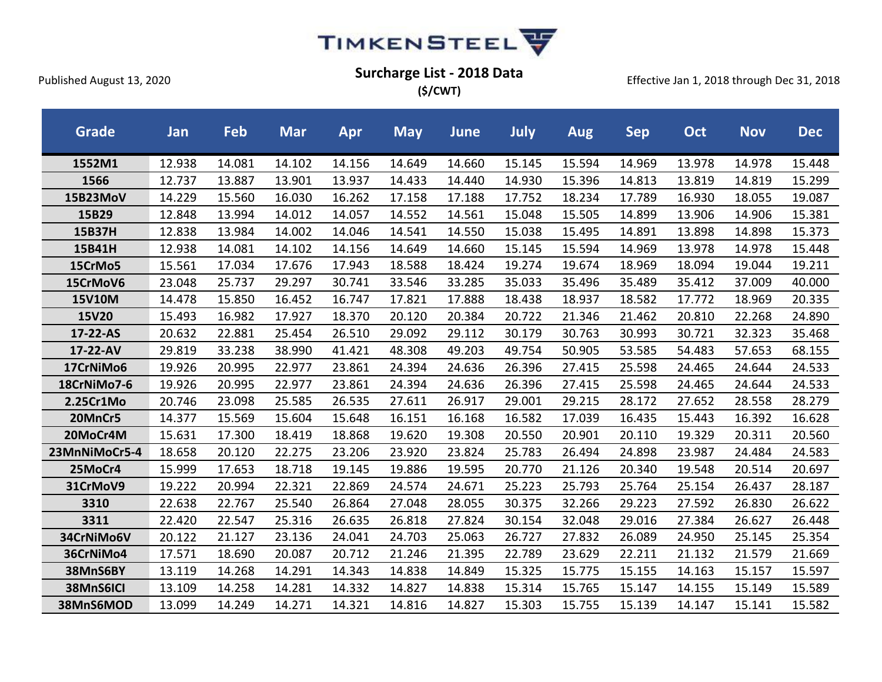

**(\$/CWT)**

| <b>Grade</b>  | Jan    | Feb    | <b>Mar</b> | Apr    | <b>May</b> | <b>June</b> | July   | <b>Aug</b> | <b>Sep</b> | <b>Oct</b> | <b>Nov</b> | <b>Dec</b> |
|---------------|--------|--------|------------|--------|------------|-------------|--------|------------|------------|------------|------------|------------|
| 1552M1        | 12.938 | 14.081 | 14.102     | 14.156 | 14.649     | 14.660      | 15.145 | 15.594     | 14.969     | 13.978     | 14.978     | 15.448     |
| 1566          | 12.737 | 13.887 | 13.901     | 13.937 | 14.433     | 14.440      | 14.930 | 15.396     | 14.813     | 13.819     | 14.819     | 15.299     |
| 15B23MoV      | 14.229 | 15.560 | 16.030     | 16.262 | 17.158     | 17.188      | 17.752 | 18.234     | 17.789     | 16.930     | 18.055     | 19.087     |
| 15B29         | 12.848 | 13.994 | 14.012     | 14.057 | 14.552     | 14.561      | 15.048 | 15.505     | 14.899     | 13.906     | 14.906     | 15.381     |
| 15B37H        | 12.838 | 13.984 | 14.002     | 14.046 | 14.541     | 14.550      | 15.038 | 15.495     | 14.891     | 13.898     | 14.898     | 15.373     |
| 15B41H        | 12.938 | 14.081 | 14.102     | 14.156 | 14.649     | 14.660      | 15.145 | 15.594     | 14.969     | 13.978     | 14.978     | 15.448     |
| 15CrMo5       | 15.561 | 17.034 | 17.676     | 17.943 | 18.588     | 18.424      | 19.274 | 19.674     | 18.969     | 18.094     | 19.044     | 19.211     |
| 15CrMoV6      | 23.048 | 25.737 | 29.297     | 30.741 | 33.546     | 33.285      | 35.033 | 35.496     | 35.489     | 35.412     | 37.009     | 40.000     |
| <b>15V10M</b> | 14.478 | 15.850 | 16.452     | 16.747 | 17.821     | 17.888      | 18.438 | 18.937     | 18.582     | 17.772     | 18.969     | 20.335     |
| 15V20         | 15.493 | 16.982 | 17.927     | 18.370 | 20.120     | 20.384      | 20.722 | 21.346     | 21.462     | 20.810     | 22.268     | 24.890     |
| 17-22-AS      | 20.632 | 22.881 | 25.454     | 26.510 | 29.092     | 29.112      | 30.179 | 30.763     | 30.993     | 30.721     | 32.323     | 35.468     |
| 17-22-AV      | 29.819 | 33.238 | 38.990     | 41.421 | 48.308     | 49.203      | 49.754 | 50.905     | 53.585     | 54.483     | 57.653     | 68.155     |
| 17CrNiMo6     | 19.926 | 20.995 | 22.977     | 23.861 | 24.394     | 24.636      | 26.396 | 27.415     | 25.598     | 24.465     | 24.644     | 24.533     |
| 18CrNiMo7-6   | 19.926 | 20.995 | 22.977     | 23.861 | 24.394     | 24.636      | 26.396 | 27.415     | 25.598     | 24.465     | 24.644     | 24.533     |
| 2.25Cr1Mo     | 20.746 | 23.098 | 25.585     | 26.535 | 27.611     | 26.917      | 29.001 | 29.215     | 28.172     | 27.652     | 28.558     | 28.279     |
| 20MnCr5       | 14.377 | 15.569 | 15.604     | 15.648 | 16.151     | 16.168      | 16.582 | 17.039     | 16.435     | 15.443     | 16.392     | 16.628     |
| 20MoCr4M      | 15.631 | 17.300 | 18.419     | 18.868 | 19.620     | 19.308      | 20.550 | 20.901     | 20.110     | 19.329     | 20.311     | 20.560     |
| 23MnNiMoCr5-4 | 18.658 | 20.120 | 22.275     | 23.206 | 23.920     | 23.824      | 25.783 | 26.494     | 24.898     | 23.987     | 24.484     | 24.583     |
| 25MoCr4       | 15.999 | 17.653 | 18.718     | 19.145 | 19.886     | 19.595      | 20.770 | 21.126     | 20.340     | 19.548     | 20.514     | 20.697     |
| 31CrMoV9      | 19.222 | 20.994 | 22.321     | 22.869 | 24.574     | 24.671      | 25.223 | 25.793     | 25.764     | 25.154     | 26.437     | 28.187     |
| 3310          | 22.638 | 22.767 | 25.540     | 26.864 | 27.048     | 28.055      | 30.375 | 32.266     | 29.223     | 27.592     | 26.830     | 26.622     |
| 3311          | 22.420 | 22.547 | 25.316     | 26.635 | 26.818     | 27.824      | 30.154 | 32.048     | 29.016     | 27.384     | 26.627     | 26.448     |
| 34CrNiMo6V    | 20.122 | 21.127 | 23.136     | 24.041 | 24.703     | 25.063      | 26.727 | 27.832     | 26.089     | 24.950     | 25.145     | 25.354     |
| 36CrNiMo4     | 17.571 | 18.690 | 20.087     | 20.712 | 21.246     | 21.395      | 22.789 | 23.629     | 22.211     | 21.132     | 21.579     | 21.669     |
| 38MnS6BY      | 13.119 | 14.268 | 14.291     | 14.343 | 14.838     | 14.849      | 15.325 | 15.775     | 15.155     | 14.163     | 15.157     | 15.597     |
| 38MnS6ICI     | 13.109 | 14.258 | 14.281     | 14.332 | 14.827     | 14.838      | 15.314 | 15.765     | 15.147     | 14.155     | 15.149     | 15.589     |
| 38MnS6MOD     | 13.099 | 14.249 | 14.271     | 14.321 | 14.816     | 14.827      | 15.303 | 15.755     | 15.139     | 14.147     | 15.141     | 15.582     |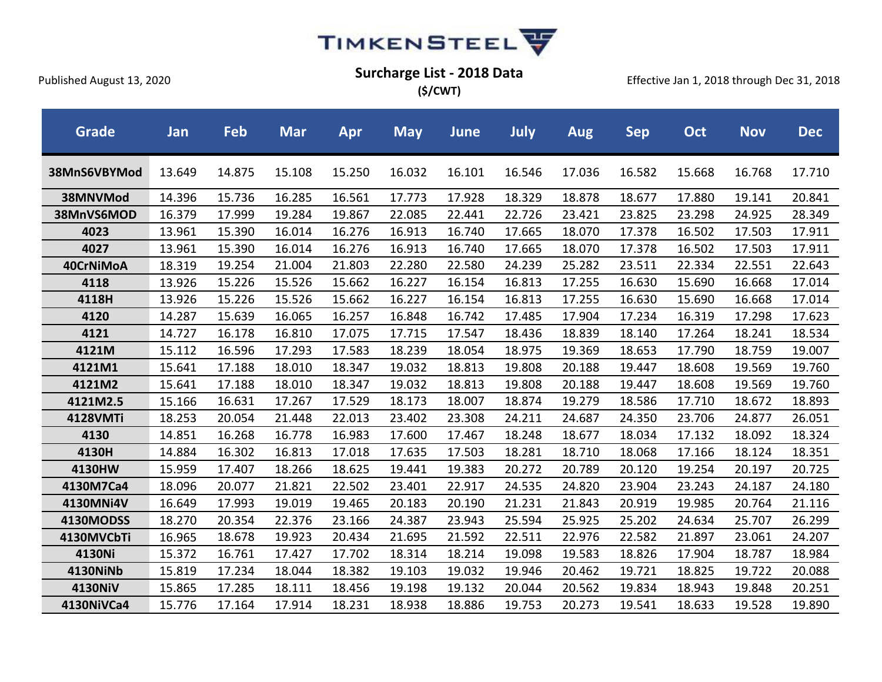

**(\$/CWT)**

| <b>Grade</b>    | Jan    | Feb    | <b>Mar</b> | Apr    | <b>May</b> | <b>June</b> | <b>July</b> | <b>Aug</b> | <b>Sep</b> | Oct    | <b>Nov</b> | <b>Dec</b> |
|-----------------|--------|--------|------------|--------|------------|-------------|-------------|------------|------------|--------|------------|------------|
| 38MnS6VBYMod    | 13.649 | 14.875 | 15.108     | 15.250 | 16.032     | 16.101      | 16.546      | 17.036     | 16.582     | 15.668 | 16.768     | 17.710     |
| 38MNVMod        | 14.396 | 15.736 | 16.285     | 16.561 | 17.773     | 17.928      | 18.329      | 18.878     | 18.677     | 17.880 | 19.141     | 20.841     |
| 38MnVS6MOD      | 16.379 | 17.999 | 19.284     | 19.867 | 22.085     | 22.441      | 22.726      | 23.421     | 23.825     | 23.298 | 24.925     | 28.349     |
| 4023            | 13.961 | 15.390 | 16.014     | 16.276 | 16.913     | 16.740      | 17.665      | 18.070     | 17.378     | 16.502 | 17.503     | 17.911     |
| 4027            | 13.961 | 15.390 | 16.014     | 16.276 | 16.913     | 16.740      | 17.665      | 18.070     | 17.378     | 16.502 | 17.503     | 17.911     |
| 40CrNiMoA       | 18.319 | 19.254 | 21.004     | 21.803 | 22.280     | 22.580      | 24.239      | 25.282     | 23.511     | 22.334 | 22.551     | 22.643     |
| 4118            | 13.926 | 15.226 | 15.526     | 15.662 | 16.227     | 16.154      | 16.813      | 17.255     | 16.630     | 15.690 | 16.668     | 17.014     |
| 4118H           | 13.926 | 15.226 | 15.526     | 15.662 | 16.227     | 16.154      | 16.813      | 17.255     | 16.630     | 15.690 | 16.668     | 17.014     |
| 4120            | 14.287 | 15.639 | 16.065     | 16.257 | 16.848     | 16.742      | 17.485      | 17.904     | 17.234     | 16.319 | 17.298     | 17.623     |
| 4121            | 14.727 | 16.178 | 16.810     | 17.075 | 17.715     | 17.547      | 18.436      | 18.839     | 18.140     | 17.264 | 18.241     | 18.534     |
| 4121M           | 15.112 | 16.596 | 17.293     | 17.583 | 18.239     | 18.054      | 18.975      | 19.369     | 18.653     | 17.790 | 18.759     | 19.007     |
| 4121M1          | 15.641 | 17.188 | 18.010     | 18.347 | 19.032     | 18.813      | 19.808      | 20.188     | 19.447     | 18.608 | 19.569     | 19.760     |
| 4121M2          | 15.641 | 17.188 | 18.010     | 18.347 | 19.032     | 18.813      | 19.808      | 20.188     | 19.447     | 18.608 | 19.569     | 19.760     |
| 4121M2.5        | 15.166 | 16.631 | 17.267     | 17.529 | 18.173     | 18.007      | 18.874      | 19.279     | 18.586     | 17.710 | 18.672     | 18.893     |
| <b>4128VMTi</b> | 18.253 | 20.054 | 21.448     | 22.013 | 23.402     | 23.308      | 24.211      | 24.687     | 24.350     | 23.706 | 24.877     | 26.051     |
| 4130            | 14.851 | 16.268 | 16.778     | 16.983 | 17.600     | 17.467      | 18.248      | 18.677     | 18.034     | 17.132 | 18.092     | 18.324     |
| 4130H           | 14.884 | 16.302 | 16.813     | 17.018 | 17.635     | 17.503      | 18.281      | 18.710     | 18.068     | 17.166 | 18.124     | 18.351     |
| 4130HW          | 15.959 | 17.407 | 18.266     | 18.625 | 19.441     | 19.383      | 20.272      | 20.789     | 20.120     | 19.254 | 20.197     | 20.725     |
| 4130M7Ca4       | 18.096 | 20.077 | 21.821     | 22.502 | 23.401     | 22.917      | 24.535      | 24.820     | 23.904     | 23.243 | 24.187     | 24.180     |
| 4130MNi4V       | 16.649 | 17.993 | 19.019     | 19.465 | 20.183     | 20.190      | 21.231      | 21.843     | 20.919     | 19.985 | 20.764     | 21.116     |
| 4130MODSS       | 18.270 | 20.354 | 22.376     | 23.166 | 24.387     | 23.943      | 25.594      | 25.925     | 25.202     | 24.634 | 25.707     | 26.299     |
| 4130MVCbTi      | 16.965 | 18.678 | 19.923     | 20.434 | 21.695     | 21.592      | 22.511      | 22.976     | 22.582     | 21.897 | 23.061     | 24.207     |
| 4130Ni          | 15.372 | 16.761 | 17.427     | 17.702 | 18.314     | 18.214      | 19.098      | 19.583     | 18.826     | 17.904 | 18.787     | 18.984     |
| 4130NiNb        | 15.819 | 17.234 | 18.044     | 18.382 | 19.103     | 19.032      | 19.946      | 20.462     | 19.721     | 18.825 | 19.722     | 20.088     |
| 4130NiV         | 15.865 | 17.285 | 18.111     | 18.456 | 19.198     | 19.132      | 20.044      | 20.562     | 19.834     | 18.943 | 19.848     | 20.251     |
| 4130NiVCa4      | 15.776 | 17.164 | 17.914     | 18.231 | 18.938     | 18.886      | 19.753      | 20.273     | 19.541     | 18.633 | 19.528     | 19.890     |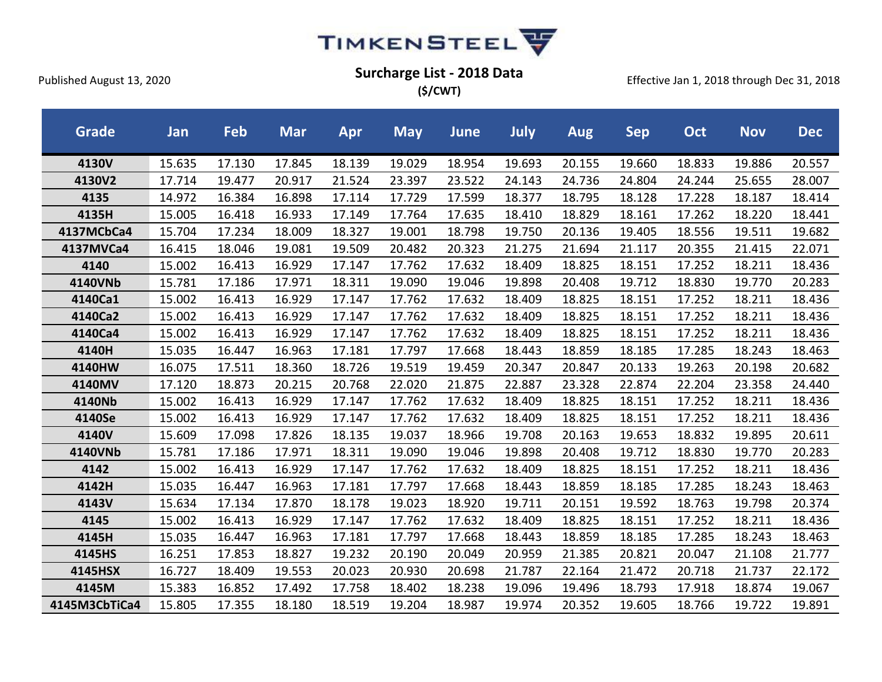

**(\$/CWT)**

| <b>Grade</b>  | Jan    | Feb    | <b>Mar</b> | Apr    | <b>May</b> | <b>June</b> | July   | <b>Aug</b> | <b>Sep</b> | <b>Oct</b> | <b>Nov</b> | <b>Dec</b> |
|---------------|--------|--------|------------|--------|------------|-------------|--------|------------|------------|------------|------------|------------|
| 4130V         | 15.635 | 17.130 | 17.845     | 18.139 | 19.029     | 18.954      | 19.693 | 20.155     | 19.660     | 18.833     | 19.886     | 20.557     |
| 4130V2        | 17.714 | 19.477 | 20.917     | 21.524 | 23.397     | 23.522      | 24.143 | 24.736     | 24.804     | 24.244     | 25.655     | 28.007     |
| 4135          | 14.972 | 16.384 | 16.898     | 17.114 | 17.729     | 17.599      | 18.377 | 18.795     | 18.128     | 17.228     | 18.187     | 18.414     |
| 4135H         | 15.005 | 16.418 | 16.933     | 17.149 | 17.764     | 17.635      | 18.410 | 18.829     | 18.161     | 17.262     | 18.220     | 18.441     |
| 4137MCbCa4    | 15.704 | 17.234 | 18.009     | 18.327 | 19.001     | 18.798      | 19.750 | 20.136     | 19.405     | 18.556     | 19.511     | 19.682     |
| 4137MVCa4     | 16.415 | 18.046 | 19.081     | 19.509 | 20.482     | 20.323      | 21.275 | 21.694     | 21.117     | 20.355     | 21.415     | 22.071     |
| 4140          | 15.002 | 16.413 | 16.929     | 17.147 | 17.762     | 17.632      | 18.409 | 18.825     | 18.151     | 17.252     | 18.211     | 18.436     |
| 4140VNb       | 15.781 | 17.186 | 17.971     | 18.311 | 19.090     | 19.046      | 19.898 | 20.408     | 19.712     | 18.830     | 19.770     | 20.283     |
| 4140Ca1       | 15.002 | 16.413 | 16.929     | 17.147 | 17.762     | 17.632      | 18.409 | 18.825     | 18.151     | 17.252     | 18.211     | 18.436     |
| 4140Ca2       | 15.002 | 16.413 | 16.929     | 17.147 | 17.762     | 17.632      | 18.409 | 18.825     | 18.151     | 17.252     | 18.211     | 18.436     |
| 4140Ca4       | 15.002 | 16.413 | 16.929     | 17.147 | 17.762     | 17.632      | 18.409 | 18.825     | 18.151     | 17.252     | 18.211     | 18.436     |
| 4140H         | 15.035 | 16.447 | 16.963     | 17.181 | 17.797     | 17.668      | 18.443 | 18.859     | 18.185     | 17.285     | 18.243     | 18.463     |
| 4140HW        | 16.075 | 17.511 | 18.360     | 18.726 | 19.519     | 19.459      | 20.347 | 20.847     | 20.133     | 19.263     | 20.198     | 20.682     |
| 4140MV        | 17.120 | 18.873 | 20.215     | 20.768 | 22.020     | 21.875      | 22.887 | 23.328     | 22.874     | 22.204     | 23.358     | 24.440     |
| 4140Nb        | 15.002 | 16.413 | 16.929     | 17.147 | 17.762     | 17.632      | 18.409 | 18.825     | 18.151     | 17.252     | 18.211     | 18.436     |
| 4140Se        | 15.002 | 16.413 | 16.929     | 17.147 | 17.762     | 17.632      | 18.409 | 18.825     | 18.151     | 17.252     | 18.211     | 18.436     |
| 4140V         | 15.609 | 17.098 | 17.826     | 18.135 | 19.037     | 18.966      | 19.708 | 20.163     | 19.653     | 18.832     | 19.895     | 20.611     |
| 4140VNb       | 15.781 | 17.186 | 17.971     | 18.311 | 19.090     | 19.046      | 19.898 | 20.408     | 19.712     | 18.830     | 19.770     | 20.283     |
| 4142          | 15.002 | 16.413 | 16.929     | 17.147 | 17.762     | 17.632      | 18.409 | 18.825     | 18.151     | 17.252     | 18.211     | 18.436     |
| 4142H         | 15.035 | 16.447 | 16.963     | 17.181 | 17.797     | 17.668      | 18.443 | 18.859     | 18.185     | 17.285     | 18.243     | 18.463     |
| 4143V         | 15.634 | 17.134 | 17.870     | 18.178 | 19.023     | 18.920      | 19.711 | 20.151     | 19.592     | 18.763     | 19.798     | 20.374     |
| 4145          | 15.002 | 16.413 | 16.929     | 17.147 | 17.762     | 17.632      | 18.409 | 18.825     | 18.151     | 17.252     | 18.211     | 18.436     |
| 4145H         | 15.035 | 16.447 | 16.963     | 17.181 | 17.797     | 17.668      | 18.443 | 18.859     | 18.185     | 17.285     | 18.243     | 18.463     |
| 4145HS        | 16.251 | 17.853 | 18.827     | 19.232 | 20.190     | 20.049      | 20.959 | 21.385     | 20.821     | 20.047     | 21.108     | 21.777     |
| 4145HSX       | 16.727 | 18.409 | 19.553     | 20.023 | 20.930     | 20.698      | 21.787 | 22.164     | 21.472     | 20.718     | 21.737     | 22.172     |
| 4145M         | 15.383 | 16.852 | 17.492     | 17.758 | 18.402     | 18.238      | 19.096 | 19.496     | 18.793     | 17.918     | 18.874     | 19.067     |
| 4145M3CbTiCa4 | 15.805 | 17.355 | 18.180     | 18.519 | 19.204     | 18.987      | 19.974 | 20.352     | 19.605     | 18.766     | 19.722     | 19.891     |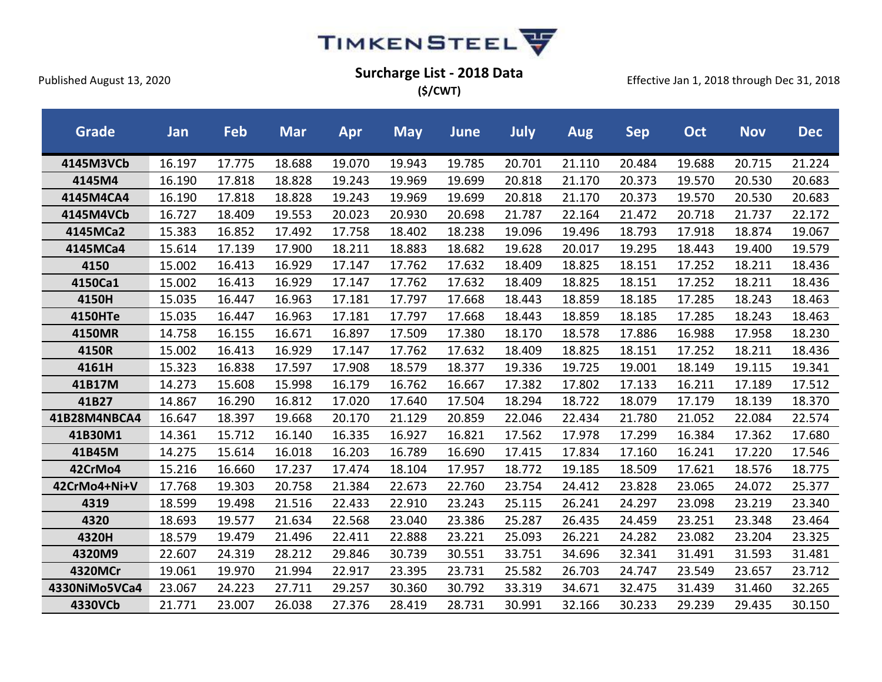

**(\$/CWT)**

| <b>Grade</b>   | Jan    | Feb    | <b>Mar</b> | Apr    | <b>May</b> | <b>June</b> | July   | <b>Aug</b> | <b>Sep</b> | Oct    | <b>Nov</b> | <b>Dec</b> |
|----------------|--------|--------|------------|--------|------------|-------------|--------|------------|------------|--------|------------|------------|
| 4145M3VCb      | 16.197 | 17.775 | 18.688     | 19.070 | 19.943     | 19.785      | 20.701 | 21.110     | 20.484     | 19.688 | 20.715     | 21.224     |
| 4145M4         | 16.190 | 17.818 | 18.828     | 19.243 | 19.969     | 19.699      | 20.818 | 21.170     | 20.373     | 19.570 | 20.530     | 20.683     |
| 4145M4CA4      | 16.190 | 17.818 | 18.828     | 19.243 | 19.969     | 19.699      | 20.818 | 21.170     | 20.373     | 19.570 | 20.530     | 20.683     |
| 4145M4VCb      | 16.727 | 18.409 | 19.553     | 20.023 | 20.930     | 20.698      | 21.787 | 22.164     | 21.472     | 20.718 | 21.737     | 22.172     |
| 4145MCa2       | 15.383 | 16.852 | 17.492     | 17.758 | 18.402     | 18.238      | 19.096 | 19.496     | 18.793     | 17.918 | 18.874     | 19.067     |
| 4145MCa4       | 15.614 | 17.139 | 17.900     | 18.211 | 18.883     | 18.682      | 19.628 | 20.017     | 19.295     | 18.443 | 19.400     | 19.579     |
| 4150           | 15.002 | 16.413 | 16.929     | 17.147 | 17.762     | 17.632      | 18.409 | 18.825     | 18.151     | 17.252 | 18.211     | 18.436     |
| 4150Ca1        | 15.002 | 16.413 | 16.929     | 17.147 | 17.762     | 17.632      | 18.409 | 18.825     | 18.151     | 17.252 | 18.211     | 18.436     |
| 4150H          | 15.035 | 16.447 | 16.963     | 17.181 | 17.797     | 17.668      | 18.443 | 18.859     | 18.185     | 17.285 | 18.243     | 18.463     |
| <b>4150HTe</b> | 15.035 | 16.447 | 16.963     | 17.181 | 17.797     | 17.668      | 18.443 | 18.859     | 18.185     | 17.285 | 18.243     | 18.463     |
| 4150MR         | 14.758 | 16.155 | 16.671     | 16.897 | 17.509     | 17.380      | 18.170 | 18.578     | 17.886     | 16.988 | 17.958     | 18.230     |
| 4150R          | 15.002 | 16.413 | 16.929     | 17.147 | 17.762     | 17.632      | 18.409 | 18.825     | 18.151     | 17.252 | 18.211     | 18.436     |
| 4161H          | 15.323 | 16.838 | 17.597     | 17.908 | 18.579     | 18.377      | 19.336 | 19.725     | 19.001     | 18.149 | 19.115     | 19.341     |
| 41B17M         | 14.273 | 15.608 | 15.998     | 16.179 | 16.762     | 16.667      | 17.382 | 17.802     | 17.133     | 16.211 | 17.189     | 17.512     |
| 41B27          | 14.867 | 16.290 | 16.812     | 17.020 | 17.640     | 17.504      | 18.294 | 18.722     | 18.079     | 17.179 | 18.139     | 18.370     |
| 41B28M4NBCA4   | 16.647 | 18.397 | 19.668     | 20.170 | 21.129     | 20.859      | 22.046 | 22.434     | 21.780     | 21.052 | 22.084     | 22.574     |
| 41B30M1        | 14.361 | 15.712 | 16.140     | 16.335 | 16.927     | 16.821      | 17.562 | 17.978     | 17.299     | 16.384 | 17.362     | 17.680     |
| 41B45M         | 14.275 | 15.614 | 16.018     | 16.203 | 16.789     | 16.690      | 17.415 | 17.834     | 17.160     | 16.241 | 17.220     | 17.546     |
| 42CrMo4        | 15.216 | 16.660 | 17.237     | 17.474 | 18.104     | 17.957      | 18.772 | 19.185     | 18.509     | 17.621 | 18.576     | 18.775     |
| 42CrMo4+Ni+V   | 17.768 | 19.303 | 20.758     | 21.384 | 22.673     | 22.760      | 23.754 | 24.412     | 23.828     | 23.065 | 24.072     | 25.377     |
| 4319           | 18.599 | 19.498 | 21.516     | 22.433 | 22.910     | 23.243      | 25.115 | 26.241     | 24.297     | 23.098 | 23.219     | 23.340     |
| 4320           | 18.693 | 19.577 | 21.634     | 22.568 | 23.040     | 23.386      | 25.287 | 26.435     | 24.459     | 23.251 | 23.348     | 23.464     |
| 4320H          | 18.579 | 19.479 | 21.496     | 22.411 | 22.888     | 23.221      | 25.093 | 26.221     | 24.282     | 23.082 | 23.204     | 23.325     |
| 4320M9         | 22.607 | 24.319 | 28.212     | 29.846 | 30.739     | 30.551      | 33.751 | 34.696     | 32.341     | 31.491 | 31.593     | 31.481     |
| 4320MCr        | 19.061 | 19.970 | 21.994     | 22.917 | 23.395     | 23.731      | 25.582 | 26.703     | 24.747     | 23.549 | 23.657     | 23.712     |
| 4330NiMo5VCa4  | 23.067 | 24.223 | 27.711     | 29.257 | 30.360     | 30.792      | 33.319 | 34.671     | 32.475     | 31.439 | 31.460     | 32.265     |
| 4330VCb        | 21.771 | 23.007 | 26.038     | 27.376 | 28.419     | 28.731      | 30.991 | 32.166     | 30.233     | 29.239 | 29.435     | 30.150     |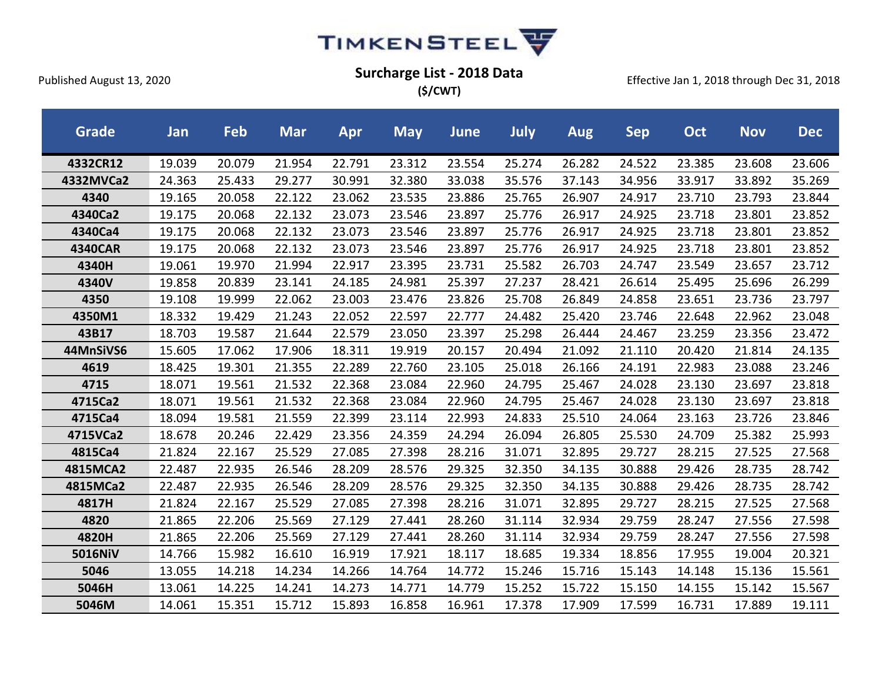

**(\$/CWT)**

| <b>Grade</b>   | Jan    | Feb    | <b>Mar</b> | <b>Apr</b> | <b>May</b> | June   | July   | <b>Aug</b> | <b>Sep</b> | Oct    | <b>Nov</b> | <b>Dec</b> |
|----------------|--------|--------|------------|------------|------------|--------|--------|------------|------------|--------|------------|------------|
| 4332CR12       | 19.039 | 20.079 | 21.954     | 22.791     | 23.312     | 23.554 | 25.274 | 26.282     | 24.522     | 23.385 | 23.608     | 23.606     |
| 4332MVCa2      | 24.363 | 25.433 | 29.277     | 30.991     | 32.380     | 33.038 | 35.576 | 37.143     | 34.956     | 33.917 | 33.892     | 35.269     |
| 4340           | 19.165 | 20.058 | 22.122     | 23.062     | 23.535     | 23.886 | 25.765 | 26.907     | 24.917     | 23.710 | 23.793     | 23.844     |
| 4340Ca2        | 19.175 | 20.068 | 22.132     | 23.073     | 23.546     | 23.897 | 25.776 | 26.917     | 24.925     | 23.718 | 23.801     | 23.852     |
| 4340Ca4        | 19.175 | 20.068 | 22.132     | 23.073     | 23.546     | 23.897 | 25.776 | 26.917     | 24.925     | 23.718 | 23.801     | 23.852     |
| <b>4340CAR</b> | 19.175 | 20.068 | 22.132     | 23.073     | 23.546     | 23.897 | 25.776 | 26.917     | 24.925     | 23.718 | 23.801     | 23.852     |
| 4340H          | 19.061 | 19.970 | 21.994     | 22.917     | 23.395     | 23.731 | 25.582 | 26.703     | 24.747     | 23.549 | 23.657     | 23.712     |
| 4340V          | 19.858 | 20.839 | 23.141     | 24.185     | 24.981     | 25.397 | 27.237 | 28.421     | 26.614     | 25.495 | 25.696     | 26.299     |
| 4350           | 19.108 | 19.999 | 22.062     | 23.003     | 23.476     | 23.826 | 25.708 | 26.849     | 24.858     | 23.651 | 23.736     | 23.797     |
| 4350M1         | 18.332 | 19.429 | 21.243     | 22.052     | 22.597     | 22.777 | 24.482 | 25.420     | 23.746     | 22.648 | 22.962     | 23.048     |
| 43B17          | 18.703 | 19.587 | 21.644     | 22.579     | 23.050     | 23.397 | 25.298 | 26.444     | 24.467     | 23.259 | 23.356     | 23.472     |
| 44MnSiVS6      | 15.605 | 17.062 | 17.906     | 18.311     | 19.919     | 20.157 | 20.494 | 21.092     | 21.110     | 20.420 | 21.814     | 24.135     |
| 4619           | 18.425 | 19.301 | 21.355     | 22.289     | 22.760     | 23.105 | 25.018 | 26.166     | 24.191     | 22.983 | 23.088     | 23.246     |
| 4715           | 18.071 | 19.561 | 21.532     | 22.368     | 23.084     | 22.960 | 24.795 | 25.467     | 24.028     | 23.130 | 23.697     | 23.818     |
| 4715Ca2        | 18.071 | 19.561 | 21.532     | 22.368     | 23.084     | 22.960 | 24.795 | 25.467     | 24.028     | 23.130 | 23.697     | 23.818     |
| 4715Ca4        | 18.094 | 19.581 | 21.559     | 22.399     | 23.114     | 22.993 | 24.833 | 25.510     | 24.064     | 23.163 | 23.726     | 23.846     |
| 4715VCa2       | 18.678 | 20.246 | 22.429     | 23.356     | 24.359     | 24.294 | 26.094 | 26.805     | 25.530     | 24.709 | 25.382     | 25.993     |
| 4815Ca4        | 21.824 | 22.167 | 25.529     | 27.085     | 27.398     | 28.216 | 31.071 | 32.895     | 29.727     | 28.215 | 27.525     | 27.568     |
| 4815MCA2       | 22.487 | 22.935 | 26.546     | 28.209     | 28.576     | 29.325 | 32.350 | 34.135     | 30.888     | 29.426 | 28.735     | 28.742     |
| 4815MCa2       | 22.487 | 22.935 | 26.546     | 28.209     | 28.576     | 29.325 | 32.350 | 34.135     | 30.888     | 29.426 | 28.735     | 28.742     |
| 4817H          | 21.824 | 22.167 | 25.529     | 27.085     | 27.398     | 28.216 | 31.071 | 32.895     | 29.727     | 28.215 | 27.525     | 27.568     |
| 4820           | 21.865 | 22.206 | 25.569     | 27.129     | 27.441     | 28.260 | 31.114 | 32.934     | 29.759     | 28.247 | 27.556     | 27.598     |
| 4820H          | 21.865 | 22.206 | 25.569     | 27.129     | 27.441     | 28.260 | 31.114 | 32.934     | 29.759     | 28.247 | 27.556     | 27.598     |
| 5016NiV        | 14.766 | 15.982 | 16.610     | 16.919     | 17.921     | 18.117 | 18.685 | 19.334     | 18.856     | 17.955 | 19.004     | 20.321     |
| 5046           | 13.055 | 14.218 | 14.234     | 14.266     | 14.764     | 14.772 | 15.246 | 15.716     | 15.143     | 14.148 | 15.136     | 15.561     |
| 5046H          | 13.061 | 14.225 | 14.241     | 14.273     | 14.771     | 14.779 | 15.252 | 15.722     | 15.150     | 14.155 | 15.142     | 15.567     |
| 5046M          | 14.061 | 15.351 | 15.712     | 15.893     | 16.858     | 16.961 | 17.378 | 17.909     | 17.599     | 16.731 | 17.889     | 19.111     |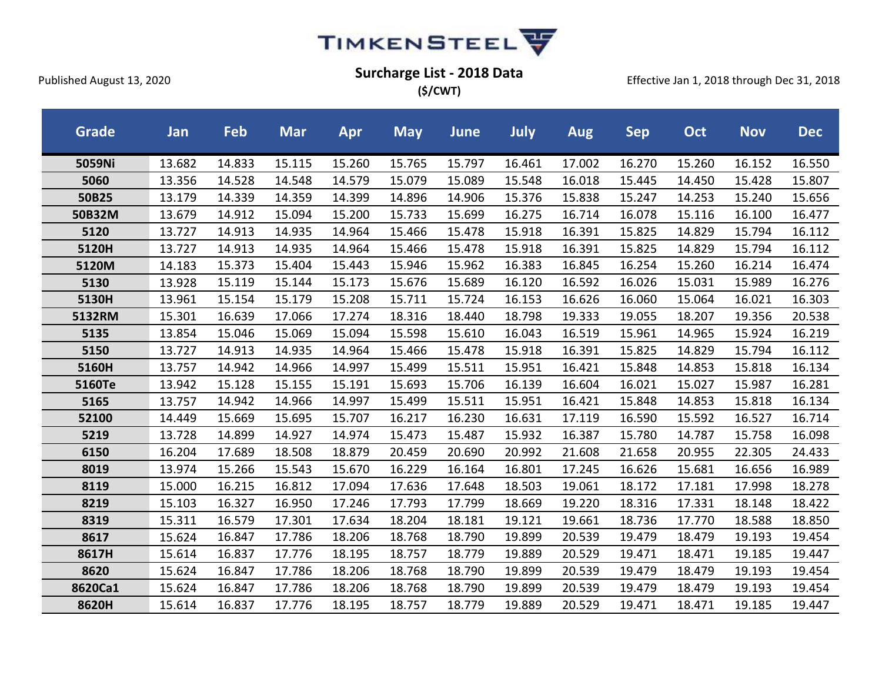

**(\$/CWT)**

| <b>Grade</b> | Jan    | Feb    | <b>Mar</b> | <b>Apr</b> | <b>May</b> | <b>June</b> | July   | <b>Aug</b> | <b>Sep</b> | Oct    | <b>Nov</b> | <b>Dec</b> |
|--------------|--------|--------|------------|------------|------------|-------------|--------|------------|------------|--------|------------|------------|
| 5059Ni       | 13.682 | 14.833 | 15.115     | 15.260     | 15.765     | 15.797      | 16.461 | 17.002     | 16.270     | 15.260 | 16.152     | 16.550     |
| 5060         | 13.356 | 14.528 | 14.548     | 14.579     | 15.079     | 15.089      | 15.548 | 16.018     | 15.445     | 14.450 | 15.428     | 15.807     |
| 50B25        | 13.179 | 14.339 | 14.359     | 14.399     | 14.896     | 14.906      | 15.376 | 15.838     | 15.247     | 14.253 | 15.240     | 15.656     |
| 50B32M       | 13.679 | 14.912 | 15.094     | 15.200     | 15.733     | 15.699      | 16.275 | 16.714     | 16.078     | 15.116 | 16.100     | 16.477     |
| 5120         | 13.727 | 14.913 | 14.935     | 14.964     | 15.466     | 15.478      | 15.918 | 16.391     | 15.825     | 14.829 | 15.794     | 16.112     |
| 5120H        | 13.727 | 14.913 | 14.935     | 14.964     | 15.466     | 15.478      | 15.918 | 16.391     | 15.825     | 14.829 | 15.794     | 16.112     |
| 5120M        | 14.183 | 15.373 | 15.404     | 15.443     | 15.946     | 15.962      | 16.383 | 16.845     | 16.254     | 15.260 | 16.214     | 16.474     |
| 5130         | 13.928 | 15.119 | 15.144     | 15.173     | 15.676     | 15.689      | 16.120 | 16.592     | 16.026     | 15.031 | 15.989     | 16.276     |
| 5130H        | 13.961 | 15.154 | 15.179     | 15.208     | 15.711     | 15.724      | 16.153 | 16.626     | 16.060     | 15.064 | 16.021     | 16.303     |
| 5132RM       | 15.301 | 16.639 | 17.066     | 17.274     | 18.316     | 18.440      | 18.798 | 19.333     | 19.055     | 18.207 | 19.356     | 20.538     |
| 5135         | 13.854 | 15.046 | 15.069     | 15.094     | 15.598     | 15.610      | 16.043 | 16.519     | 15.961     | 14.965 | 15.924     | 16.219     |
| 5150         | 13.727 | 14.913 | 14.935     | 14.964     | 15.466     | 15.478      | 15.918 | 16.391     | 15.825     | 14.829 | 15.794     | 16.112     |
| 5160H        | 13.757 | 14.942 | 14.966     | 14.997     | 15.499     | 15.511      | 15.951 | 16.421     | 15.848     | 14.853 | 15.818     | 16.134     |
| 5160Te       | 13.942 | 15.128 | 15.155     | 15.191     | 15.693     | 15.706      | 16.139 | 16.604     | 16.021     | 15.027 | 15.987     | 16.281     |
| 5165         | 13.757 | 14.942 | 14.966     | 14.997     | 15.499     | 15.511      | 15.951 | 16.421     | 15.848     | 14.853 | 15.818     | 16.134     |
| 52100        | 14.449 | 15.669 | 15.695     | 15.707     | 16.217     | 16.230      | 16.631 | 17.119     | 16.590     | 15.592 | 16.527     | 16.714     |
| 5219         | 13.728 | 14.899 | 14.927     | 14.974     | 15.473     | 15.487      | 15.932 | 16.387     | 15.780     | 14.787 | 15.758     | 16.098     |
| 6150         | 16.204 | 17.689 | 18.508     | 18.879     | 20.459     | 20.690      | 20.992 | 21.608     | 21.658     | 20.955 | 22.305     | 24.433     |
| 8019         | 13.974 | 15.266 | 15.543     | 15.670     | 16.229     | 16.164      | 16.801 | 17.245     | 16.626     | 15.681 | 16.656     | 16.989     |
| 8119         | 15.000 | 16.215 | 16.812     | 17.094     | 17.636     | 17.648      | 18.503 | 19.061     | 18.172     | 17.181 | 17.998     | 18.278     |
| 8219         | 15.103 | 16.327 | 16.950     | 17.246     | 17.793     | 17.799      | 18.669 | 19.220     | 18.316     | 17.331 | 18.148     | 18.422     |
| 8319         | 15.311 | 16.579 | 17.301     | 17.634     | 18.204     | 18.181      | 19.121 | 19.661     | 18.736     | 17.770 | 18.588     | 18.850     |
| 8617         | 15.624 | 16.847 | 17.786     | 18.206     | 18.768     | 18.790      | 19.899 | 20.539     | 19.479     | 18.479 | 19.193     | 19.454     |
| 8617H        | 15.614 | 16.837 | 17.776     | 18.195     | 18.757     | 18.779      | 19.889 | 20.529     | 19.471     | 18.471 | 19.185     | 19.447     |
| 8620         | 15.624 | 16.847 | 17.786     | 18.206     | 18.768     | 18.790      | 19.899 | 20.539     | 19.479     | 18.479 | 19.193     | 19.454     |
| 8620Ca1      | 15.624 | 16.847 | 17.786     | 18.206     | 18.768     | 18.790      | 19.899 | 20.539     | 19.479     | 18.479 | 19.193     | 19.454     |
| 8620H        | 15.614 | 16.837 | 17.776     | 18.195     | 18.757     | 18.779      | 19.889 | 20.529     | 19.471     | 18.471 | 19.185     | 19.447     |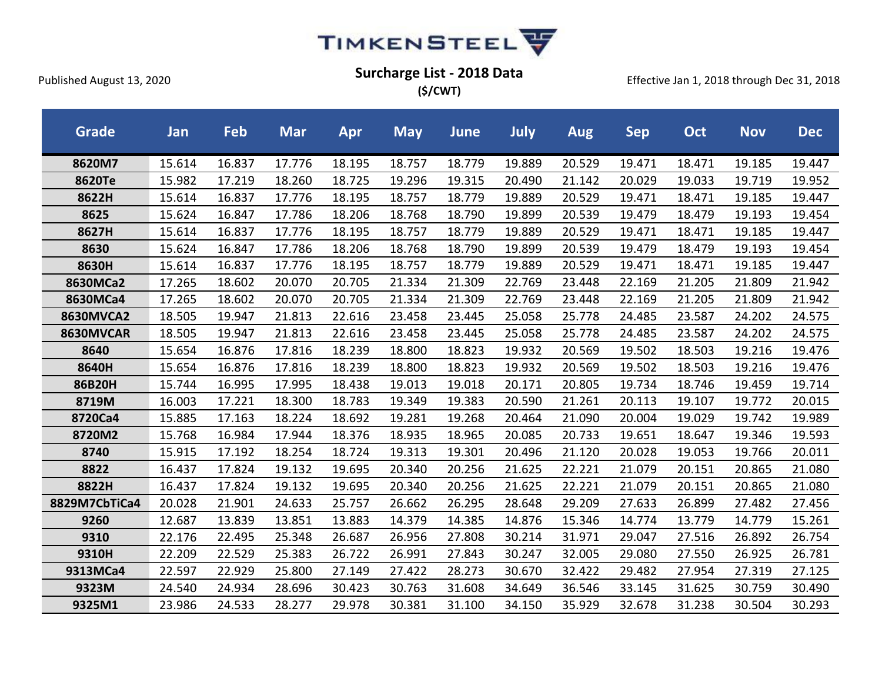

**(\$/CWT)**

| <b>Grade</b>     | Jan    | Feb    | <b>Mar</b> | Apr    | <b>May</b> | <b>June</b> | July   | <b>Aug</b> | <b>Sep</b> | Oct    | <b>Nov</b> | <b>Dec</b> |
|------------------|--------|--------|------------|--------|------------|-------------|--------|------------|------------|--------|------------|------------|
| 8620M7           | 15.614 | 16.837 | 17.776     | 18.195 | 18.757     | 18.779      | 19.889 | 20.529     | 19.471     | 18.471 | 19.185     | 19.447     |
| 8620Te           | 15.982 | 17.219 | 18.260     | 18.725 | 19.296     | 19.315      | 20.490 | 21.142     | 20.029     | 19.033 | 19.719     | 19.952     |
| 8622H            | 15.614 | 16.837 | 17.776     | 18.195 | 18.757     | 18.779      | 19.889 | 20.529     | 19.471     | 18.471 | 19.185     | 19.447     |
| 8625             | 15.624 | 16.847 | 17.786     | 18.206 | 18.768     | 18.790      | 19.899 | 20.539     | 19.479     | 18.479 | 19.193     | 19.454     |
| 8627H            | 15.614 | 16.837 | 17.776     | 18.195 | 18.757     | 18.779      | 19.889 | 20.529     | 19.471     | 18.471 | 19.185     | 19.447     |
| 8630             | 15.624 | 16.847 | 17.786     | 18.206 | 18.768     | 18.790      | 19.899 | 20.539     | 19.479     | 18.479 | 19.193     | 19.454     |
| 8630H            | 15.614 | 16.837 | 17.776     | 18.195 | 18.757     | 18.779      | 19.889 | 20.529     | 19.471     | 18.471 | 19.185     | 19.447     |
| 8630MCa2         | 17.265 | 18.602 | 20.070     | 20.705 | 21.334     | 21.309      | 22.769 | 23.448     | 22.169     | 21.205 | 21.809     | 21.942     |
| 8630MCa4         | 17.265 | 18.602 | 20.070     | 20.705 | 21.334     | 21.309      | 22.769 | 23.448     | 22.169     | 21.205 | 21.809     | 21.942     |
| <b>8630MVCA2</b> | 18.505 | 19.947 | 21.813     | 22.616 | 23.458     | 23.445      | 25.058 | 25.778     | 24.485     | 23.587 | 24.202     | 24.575     |
| 8630MVCAR        | 18.505 | 19.947 | 21.813     | 22.616 | 23.458     | 23.445      | 25.058 | 25.778     | 24.485     | 23.587 | 24.202     | 24.575     |
| 8640             | 15.654 | 16.876 | 17.816     | 18.239 | 18.800     | 18.823      | 19.932 | 20.569     | 19.502     | 18.503 | 19.216     | 19.476     |
| 8640H            | 15.654 | 16.876 | 17.816     | 18.239 | 18.800     | 18.823      | 19.932 | 20.569     | 19.502     | 18.503 | 19.216     | 19.476     |
| 86B20H           | 15.744 | 16.995 | 17.995     | 18.438 | 19.013     | 19.018      | 20.171 | 20.805     | 19.734     | 18.746 | 19.459     | 19.714     |
| 8719M            | 16.003 | 17.221 | 18.300     | 18.783 | 19.349     | 19.383      | 20.590 | 21.261     | 20.113     | 19.107 | 19.772     | 20.015     |
| 8720Ca4          | 15.885 | 17.163 | 18.224     | 18.692 | 19.281     | 19.268      | 20.464 | 21.090     | 20.004     | 19.029 | 19.742     | 19.989     |
| 8720M2           | 15.768 | 16.984 | 17.944     | 18.376 | 18.935     | 18.965      | 20.085 | 20.733     | 19.651     | 18.647 | 19.346     | 19.593     |
| 8740             | 15.915 | 17.192 | 18.254     | 18.724 | 19.313     | 19.301      | 20.496 | 21.120     | 20.028     | 19.053 | 19.766     | 20.011     |
| 8822             | 16.437 | 17.824 | 19.132     | 19.695 | 20.340     | 20.256      | 21.625 | 22.221     | 21.079     | 20.151 | 20.865     | 21.080     |
| 8822H            | 16.437 | 17.824 | 19.132     | 19.695 | 20.340     | 20.256      | 21.625 | 22.221     | 21.079     | 20.151 | 20.865     | 21.080     |
| 8829M7CbTiCa4    | 20.028 | 21.901 | 24.633     | 25.757 | 26.662     | 26.295      | 28.648 | 29.209     | 27.633     | 26.899 | 27.482     | 27.456     |
| 9260             | 12.687 | 13.839 | 13.851     | 13.883 | 14.379     | 14.385      | 14.876 | 15.346     | 14.774     | 13.779 | 14.779     | 15.261     |
| 9310             | 22.176 | 22.495 | 25.348     | 26.687 | 26.956     | 27.808      | 30.214 | 31.971     | 29.047     | 27.516 | 26.892     | 26.754     |
| 9310H            | 22.209 | 22.529 | 25.383     | 26.722 | 26.991     | 27.843      | 30.247 | 32.005     | 29.080     | 27.550 | 26.925     | 26.781     |
| 9313MCa4         | 22.597 | 22.929 | 25.800     | 27.149 | 27.422     | 28.273      | 30.670 | 32.422     | 29.482     | 27.954 | 27.319     | 27.125     |
| 9323M            | 24.540 | 24.934 | 28.696     | 30.423 | 30.763     | 31.608      | 34.649 | 36.546     | 33.145     | 31.625 | 30.759     | 30.490     |
| 9325M1           | 23.986 | 24.533 | 28.277     | 29.978 | 30.381     | 31.100      | 34.150 | 35.929     | 32.678     | 31.238 | 30.504     | 30.293     |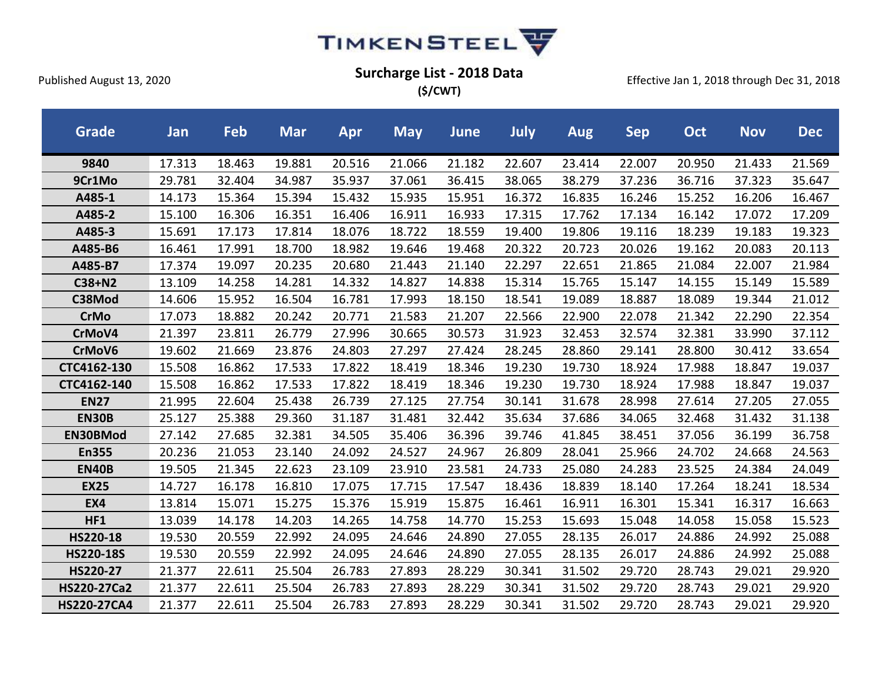

**(\$/CWT)**

| <b>Grade</b>       | Jan    | Feb    | <b>Mar</b> | Apr    | <b>May</b> | <b>June</b> | July   | <b>Aug</b> | <b>Sep</b> | <b>Oct</b> | <b>Nov</b> | <b>Dec</b> |
|--------------------|--------|--------|------------|--------|------------|-------------|--------|------------|------------|------------|------------|------------|
| 9840               | 17.313 | 18.463 | 19.881     | 20.516 | 21.066     | 21.182      | 22.607 | 23.414     | 22.007     | 20.950     | 21.433     | 21.569     |
| 9Cr1Mo             | 29.781 | 32.404 | 34.987     | 35.937 | 37.061     | 36.415      | 38.065 | 38.279     | 37.236     | 36.716     | 37.323     | 35.647     |
| A485-1             | 14.173 | 15.364 | 15.394     | 15.432 | 15.935     | 15.951      | 16.372 | 16.835     | 16.246     | 15.252     | 16.206     | 16.467     |
| A485-2             | 15.100 | 16.306 | 16.351     | 16.406 | 16.911     | 16.933      | 17.315 | 17.762     | 17.134     | 16.142     | 17.072     | 17.209     |
| A485-3             | 15.691 | 17.173 | 17.814     | 18.076 | 18.722     | 18.559      | 19.400 | 19.806     | 19.116     | 18.239     | 19.183     | 19.323     |
| A485-B6            | 16.461 | 17.991 | 18.700     | 18.982 | 19.646     | 19.468      | 20.322 | 20.723     | 20.026     | 19.162     | 20.083     | 20.113     |
| A485-B7            | 17.374 | 19.097 | 20.235     | 20.680 | 21.443     | 21.140      | 22.297 | 22.651     | 21.865     | 21.084     | 22.007     | 21.984     |
| C38+N2             | 13.109 | 14.258 | 14.281     | 14.332 | 14.827     | 14.838      | 15.314 | 15.765     | 15.147     | 14.155     | 15.149     | 15.589     |
| C38Mod             | 14.606 | 15.952 | 16.504     | 16.781 | 17.993     | 18.150      | 18.541 | 19.089     | 18.887     | 18.089     | 19.344     | 21.012     |
| <b>CrMo</b>        | 17.073 | 18.882 | 20.242     | 20.771 | 21.583     | 21.207      | 22.566 | 22.900     | 22.078     | 21.342     | 22.290     | 22.354     |
| CrMoV4             | 21.397 | 23.811 | 26.779     | 27.996 | 30.665     | 30.573      | 31.923 | 32.453     | 32.574     | 32.381     | 33.990     | 37.112     |
| CrMoV6             | 19.602 | 21.669 | 23.876     | 24.803 | 27.297     | 27.424      | 28.245 | 28.860     | 29.141     | 28.800     | 30.412     | 33.654     |
| CTC4162-130        | 15.508 | 16.862 | 17.533     | 17.822 | 18.419     | 18.346      | 19.230 | 19.730     | 18.924     | 17.988     | 18.847     | 19.037     |
| CTC4162-140        | 15.508 | 16.862 | 17.533     | 17.822 | 18.419     | 18.346      | 19.230 | 19.730     | 18.924     | 17.988     | 18.847     | 19.037     |
| <b>EN27</b>        | 21.995 | 22.604 | 25.438     | 26.739 | 27.125     | 27.754      | 30.141 | 31.678     | 28.998     | 27.614     | 27.205     | 27.055     |
| <b>EN30B</b>       | 25.127 | 25.388 | 29.360     | 31.187 | 31.481     | 32.442      | 35.634 | 37.686     | 34.065     | 32.468     | 31.432     | 31.138     |
| EN30BMod           | 27.142 | 27.685 | 32.381     | 34.505 | 35.406     | 36.396      | 39.746 | 41.845     | 38.451     | 37.056     | 36.199     | 36.758     |
| <b>En355</b>       | 20.236 | 21.053 | 23.140     | 24.092 | 24.527     | 24.967      | 26.809 | 28.041     | 25.966     | 24.702     | 24.668     | 24.563     |
| <b>EN40B</b>       | 19.505 | 21.345 | 22.623     | 23.109 | 23.910     | 23.581      | 24.733 | 25.080     | 24.283     | 23.525     | 24.384     | 24.049     |
| <b>EX25</b>        | 14.727 | 16.178 | 16.810     | 17.075 | 17.715     | 17.547      | 18.436 | 18.839     | 18.140     | 17.264     | 18.241     | 18.534     |
| EX4                | 13.814 | 15.071 | 15.275     | 15.376 | 15.919     | 15.875      | 16.461 | 16.911     | 16.301     | 15.341     | 16.317     | 16.663     |
| HF1                | 13.039 | 14.178 | 14.203     | 14.265 | 14.758     | 14.770      | 15.253 | 15.693     | 15.048     | 14.058     | 15.058     | 15.523     |
| HS220-18           | 19.530 | 20.559 | 22.992     | 24.095 | 24.646     | 24.890      | 27.055 | 28.135     | 26.017     | 24.886     | 24.992     | 25.088     |
| <b>HS220-18S</b>   | 19.530 | 20.559 | 22.992     | 24.095 | 24.646     | 24.890      | 27.055 | 28.135     | 26.017     | 24.886     | 24.992     | 25.088     |
| HS220-27           | 21.377 | 22.611 | 25.504     | 26.783 | 27.893     | 28.229      | 30.341 | 31.502     | 29.720     | 28.743     | 29.021     | 29.920     |
| <b>HS220-27Ca2</b> | 21.377 | 22.611 | 25.504     | 26.783 | 27.893     | 28.229      | 30.341 | 31.502     | 29.720     | 28.743     | 29.021     | 29.920     |
| <b>HS220-27CA4</b> | 21.377 | 22.611 | 25.504     | 26.783 | 27.893     | 28.229      | 30.341 | 31.502     | 29.720     | 28.743     | 29.021     | 29.920     |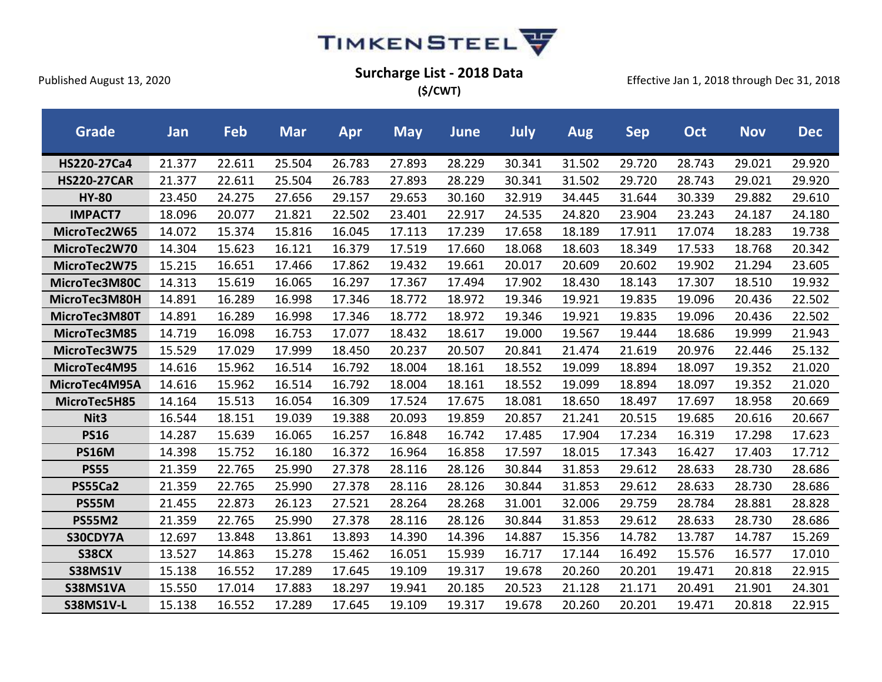

**(\$/CWT)**

| Grade              | Jan    | Feb    | <b>Mar</b> | Apr    | <b>May</b> | <b>June</b> | July   | Aug    | <b>Sep</b> | Oct    | <b>Nov</b> | <b>Dec</b> |
|--------------------|--------|--------|------------|--------|------------|-------------|--------|--------|------------|--------|------------|------------|
| HS220-27Ca4        | 21.377 | 22.611 | 25.504     | 26.783 | 27.893     | 28.229      | 30.341 | 31.502 | 29.720     | 28.743 | 29.021     | 29.920     |
| <b>HS220-27CAR</b> | 21.377 | 22.611 | 25.504     | 26.783 | 27.893     | 28.229      | 30.341 | 31.502 | 29.720     | 28.743 | 29.021     | 29.920     |
| <b>HY-80</b>       | 23.450 | 24.275 | 27.656     | 29.157 | 29.653     | 30.160      | 32.919 | 34.445 | 31.644     | 30.339 | 29.882     | 29.610     |
| <b>IMPACT7</b>     | 18.096 | 20.077 | 21.821     | 22.502 | 23.401     | 22.917      | 24.535 | 24.820 | 23.904     | 23.243 | 24.187     | 24.180     |
| MicroTec2W65       | 14.072 | 15.374 | 15.816     | 16.045 | 17.113     | 17.239      | 17.658 | 18.189 | 17.911     | 17.074 | 18.283     | 19.738     |
| MicroTec2W70       | 14.304 | 15.623 | 16.121     | 16.379 | 17.519     | 17.660      | 18.068 | 18.603 | 18.349     | 17.533 | 18.768     | 20.342     |
| MicroTec2W75       | 15.215 | 16.651 | 17.466     | 17.862 | 19.432     | 19.661      | 20.017 | 20.609 | 20.602     | 19.902 | 21.294     | 23.605     |
| MicroTec3M80C      | 14.313 | 15.619 | 16.065     | 16.297 | 17.367     | 17.494      | 17.902 | 18.430 | 18.143     | 17.307 | 18.510     | 19.932     |
| MicroTec3M80H      | 14.891 | 16.289 | 16.998     | 17.346 | 18.772     | 18.972      | 19.346 | 19.921 | 19.835     | 19.096 | 20.436     | 22.502     |
| MicroTec3M80T      | 14.891 | 16.289 | 16.998     | 17.346 | 18.772     | 18.972      | 19.346 | 19.921 | 19.835     | 19.096 | 20.436     | 22.502     |
| MicroTec3M85       | 14.719 | 16.098 | 16.753     | 17.077 | 18.432     | 18.617      | 19.000 | 19.567 | 19.444     | 18.686 | 19.999     | 21.943     |
| MicroTec3W75       | 15.529 | 17.029 | 17.999     | 18.450 | 20.237     | 20.507      | 20.841 | 21.474 | 21.619     | 20.976 | 22.446     | 25.132     |
| MicroTec4M95       | 14.616 | 15.962 | 16.514     | 16.792 | 18.004     | 18.161      | 18.552 | 19.099 | 18.894     | 18.097 | 19.352     | 21.020     |
| MicroTec4M95A      | 14.616 | 15.962 | 16.514     | 16.792 | 18.004     | 18.161      | 18.552 | 19.099 | 18.894     | 18.097 | 19.352     | 21.020     |
| MicroTec5H85       | 14.164 | 15.513 | 16.054     | 16.309 | 17.524     | 17.675      | 18.081 | 18.650 | 18.497     | 17.697 | 18.958     | 20.669     |
| Nit <sub>3</sub>   | 16.544 | 18.151 | 19.039     | 19.388 | 20.093     | 19.859      | 20.857 | 21.241 | 20.515     | 19.685 | 20.616     | 20.667     |
| <b>PS16</b>        | 14.287 | 15.639 | 16.065     | 16.257 | 16.848     | 16.742      | 17.485 | 17.904 | 17.234     | 16.319 | 17.298     | 17.623     |
| <b>PS16M</b>       | 14.398 | 15.752 | 16.180     | 16.372 | 16.964     | 16.858      | 17.597 | 18.015 | 17.343     | 16.427 | 17.403     | 17.712     |
| <b>PS55</b>        | 21.359 | 22.765 | 25.990     | 27.378 | 28.116     | 28.126      | 30.844 | 31.853 | 29.612     | 28.633 | 28.730     | 28.686     |
| <b>PS55Ca2</b>     | 21.359 | 22.765 | 25.990     | 27.378 | 28.116     | 28.126      | 30.844 | 31.853 | 29.612     | 28.633 | 28.730     | 28.686     |
| PS55M              | 21.455 | 22.873 | 26.123     | 27.521 | 28.264     | 28.268      | 31.001 | 32.006 | 29.759     | 28.784 | 28.881     | 28.828     |
| <b>PS55M2</b>      | 21.359 | 22.765 | 25.990     | 27.378 | 28.116     | 28.126      | 30.844 | 31.853 | 29.612     | 28.633 | 28.730     | 28.686     |
| S30CDY7A           | 12.697 | 13.848 | 13.861     | 13.893 | 14.390     | 14.396      | 14.887 | 15.356 | 14.782     | 13.787 | 14.787     | 15.269     |
| <b>S38CX</b>       | 13.527 | 14.863 | 15.278     | 15.462 | 16.051     | 15.939      | 16.717 | 17.144 | 16.492     | 15.576 | 16.577     | 17.010     |
| <b>S38MS1V</b>     | 15.138 | 16.552 | 17.289     | 17.645 | 19.109     | 19.317      | 19.678 | 20.260 | 20.201     | 19.471 | 20.818     | 22.915     |
| S38MS1VA           | 15.550 | 17.014 | 17.883     | 18.297 | 19.941     | 20.185      | 20.523 | 21.128 | 21.171     | 20.491 | 21.901     | 24.301     |
| <b>S38MS1V-L</b>   | 15.138 | 16.552 | 17.289     | 17.645 | 19.109     | 19.317      | 19.678 | 20.260 | 20.201     | 19.471 | 20.818     | 22.915     |